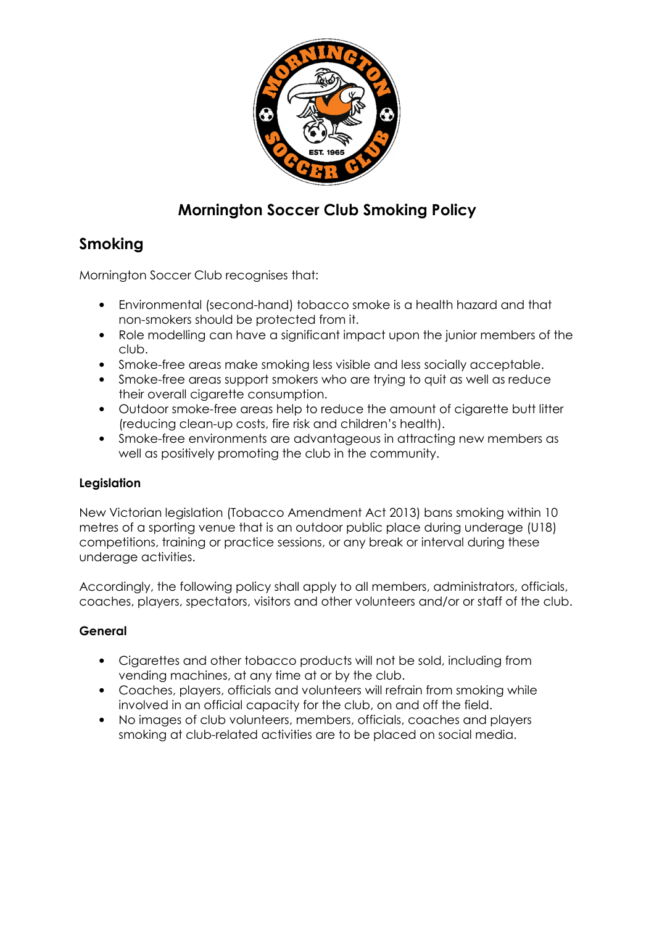

# Mornington Soccer Club Smoking Policy

## Smoking

Mornington Soccer Club recognises that:

- Environmental (second-hand) tobacco smoke is a health hazard and that non-smokers should be protected from it.
- Role modelling can have a significant impact upon the junior members of the club.
- Smoke-free areas make smoking less visible and less socially acceptable.
- Smoke-free areas support smokers who are trying to quit as well as reduce their overall cigarette consumption.
- Outdoor smoke-free areas help to reduce the amount of cigarette butt litter (reducing clean-up costs, fire risk and children's health).
- Smoke-free environments are advantageous in attracting new members as well as positively promoting the club in the community.

## Legislation

New Victorian legislation (Tobacco Amendment Act 2013) bans smoking within 10 metres of a sporting venue that is an outdoor public place during underage (U18) competitions, training or practice sessions, or any break or interval during these underage activities.

Accordingly, the following policy shall apply to all members, administrators, officials, coaches, players, spectators, visitors and other volunteers and/or or staff of the club.

## General

- Cigarettes and other tobacco products will not be sold, including from vending machines, at any time at or by the club.
- Coaches, players, officials and volunteers will refrain from smoking while involved in an official capacity for the club, on and off the field.
- No images of club volunteers, members, officials, coaches and players smoking at club-related activities are to be placed on social media.